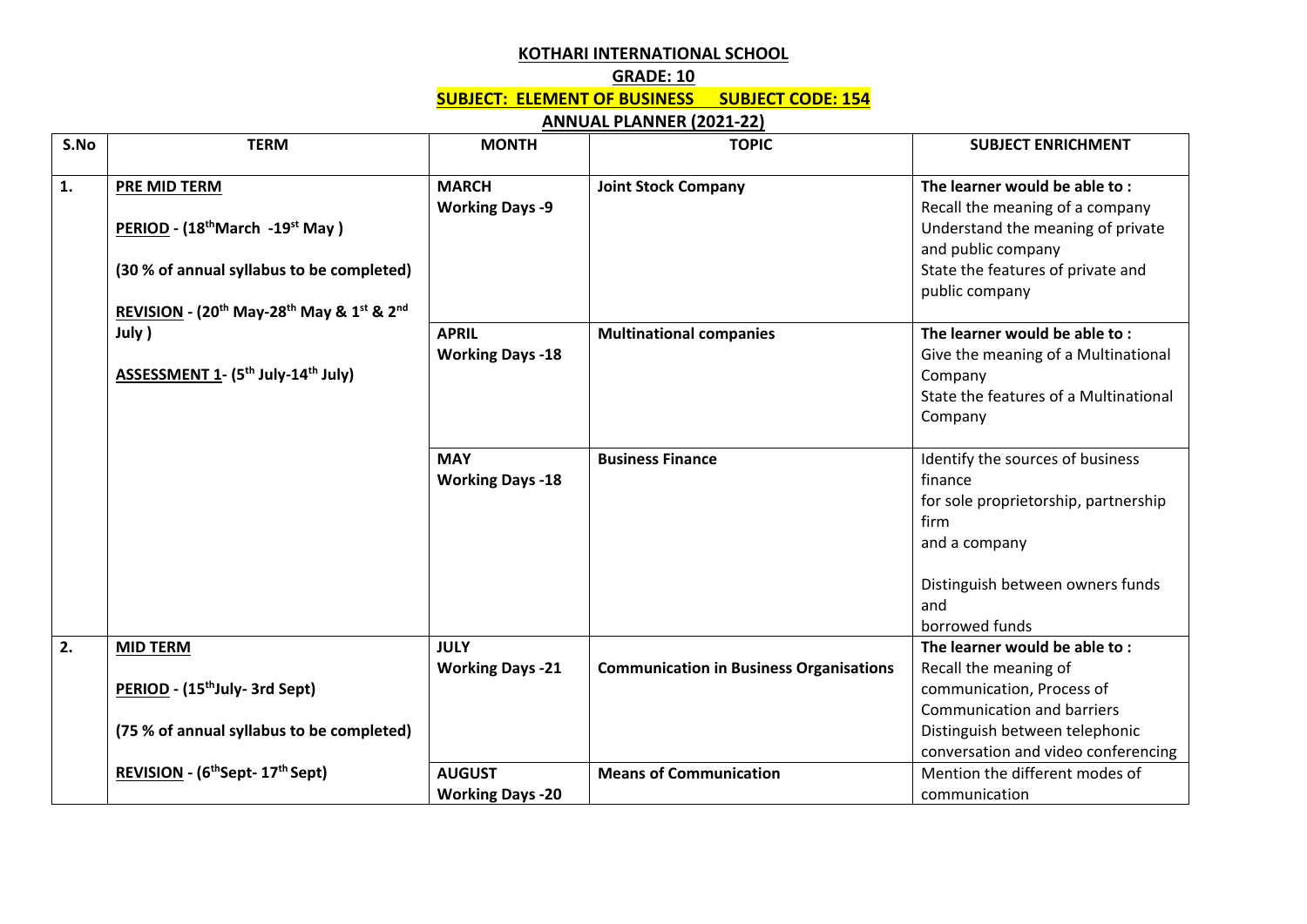## **KOTHARI INTERNATIONAL SCHOOL**

## **GRADE: 10 SUBJECT: ELEMENT OF BUSINESS SUBJECT CODE: 154**

## **ANNUAL PLANNER (2021-22)**

| S.No | <b>TERM</b>                                                                               | <b>MONTH</b>            | <b>TOPIC</b>                                   | <b>SUBJECT ENRICHMENT</b>             |
|------|-------------------------------------------------------------------------------------------|-------------------------|------------------------------------------------|---------------------------------------|
|      |                                                                                           |                         |                                                |                                       |
| 1.   | PRE MID TERM                                                                              | <b>MARCH</b>            | <b>Joint Stock Company</b>                     | The learner would be able to:         |
|      |                                                                                           | <b>Working Days -9</b>  |                                                | Recall the meaning of a company       |
|      | PERIOD - (18 <sup>th</sup> March -19 <sup>st</sup> May)                                   |                         |                                                | Understand the meaning of private     |
|      |                                                                                           |                         |                                                | and public company                    |
|      | (30 % of annual syllabus to be completed)                                                 |                         |                                                | State the features of private and     |
|      |                                                                                           |                         |                                                | public company                        |
|      | REVISION - (20 <sup>th</sup> May-28 <sup>th</sup> May & 1 <sup>st</sup> & 2 <sup>nd</sup> |                         |                                                |                                       |
|      | July )                                                                                    | <b>APRIL</b>            | <b>Multinational companies</b>                 | The learner would be able to:         |
|      |                                                                                           | <b>Working Days -18</b> |                                                | Give the meaning of a Multinational   |
|      | ASSESSMENT 1- (5 <sup>th</sup> July-14 <sup>th</sup> July)                                |                         |                                                | Company                               |
|      |                                                                                           |                         |                                                | State the features of a Multinational |
|      |                                                                                           |                         |                                                | Company                               |
|      |                                                                                           |                         |                                                |                                       |
|      |                                                                                           | <b>MAY</b>              | <b>Business Finance</b>                        | Identify the sources of business      |
|      |                                                                                           | <b>Working Days -18</b> |                                                | finance                               |
|      |                                                                                           |                         |                                                | for sole proprietorship, partnership  |
|      |                                                                                           |                         |                                                | firm                                  |
|      |                                                                                           |                         |                                                | and a company                         |
|      |                                                                                           |                         |                                                |                                       |
|      |                                                                                           |                         |                                                | Distinguish between owners funds      |
|      |                                                                                           |                         |                                                | and                                   |
|      |                                                                                           |                         |                                                | borrowed funds                        |
| 2.   | <b>MID TERM</b>                                                                           | <b>JULY</b>             |                                                | The learner would be able to:         |
|      |                                                                                           | <b>Working Days -21</b> | <b>Communication in Business Organisations</b> | Recall the meaning of                 |
|      | PERIOD - (15 <sup>th</sup> July- 3rd Sept)                                                |                         |                                                | communication, Process of             |
|      |                                                                                           |                         |                                                | Communication and barriers            |
|      | (75 % of annual syllabus to be completed)                                                 |                         |                                                | Distinguish between telephonic        |
|      |                                                                                           |                         |                                                | conversation and video conferencing   |
|      | REVISION - (6 <sup>th</sup> Sept- 17 <sup>th</sup> Sept)                                  | <b>AUGUST</b>           | <b>Means of Communication</b>                  | Mention the different modes of        |
|      |                                                                                           | <b>Working Days -20</b> |                                                | communication                         |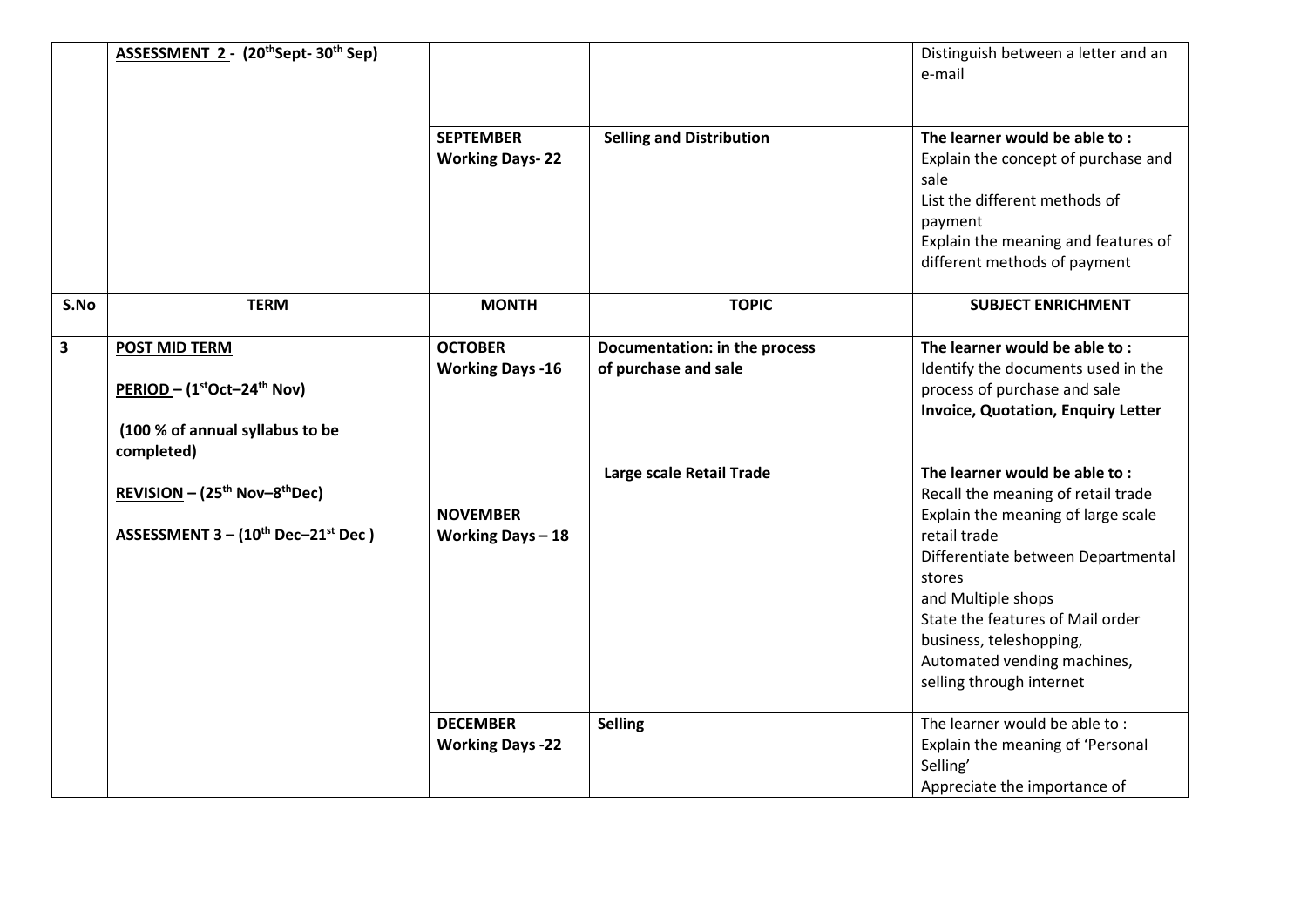|                         | ASSESSMENT 2 - (20thSept-30th Sep)                                                                                                                                                                             |                                            |                                                       | Distinguish between a letter and an<br>e-mail                                                                                                                                                                                                                                                                             |
|-------------------------|----------------------------------------------------------------------------------------------------------------------------------------------------------------------------------------------------------------|--------------------------------------------|-------------------------------------------------------|---------------------------------------------------------------------------------------------------------------------------------------------------------------------------------------------------------------------------------------------------------------------------------------------------------------------------|
|                         |                                                                                                                                                                                                                | <b>SEPTEMBER</b><br><b>Working Days-22</b> | <b>Selling and Distribution</b>                       | The learner would be able to:<br>Explain the concept of purchase and<br>sale<br>List the different methods of<br>payment<br>Explain the meaning and features of<br>different methods of payment                                                                                                                           |
| S.No                    | <b>TERM</b>                                                                                                                                                                                                    | <b>MONTH</b>                               | <b>TOPIC</b>                                          | <b>SUBJECT ENRICHMENT</b>                                                                                                                                                                                                                                                                                                 |
| $\overline{\mathbf{3}}$ | <b>POST MID TERM</b><br>PERIOD - (1st Oct-24th Nov)<br>(100 % of annual syllabus to be<br>completed)<br>REVISION - (25 <sup>th</sup> Nov-8 <sup>th</sup> Dec)<br>ASSESSMENT $3 - (10^{th}$ Dec $-21^{st}$ Dec) | <b>OCTOBER</b><br><b>Working Days -16</b>  | Documentation: in the process<br>of purchase and sale | The learner would be able to:<br>Identify the documents used in the<br>process of purchase and sale<br><b>Invoice, Quotation, Enquiry Letter</b>                                                                                                                                                                          |
|                         |                                                                                                                                                                                                                | <b>NOVEMBER</b><br>Working Days $-18$      | Large scale Retail Trade                              | The learner would be able to:<br>Recall the meaning of retail trade<br>Explain the meaning of large scale<br>retail trade<br>Differentiate between Departmental<br>stores<br>and Multiple shops<br>State the features of Mail order<br>business, teleshopping,<br>Automated vending machines,<br>selling through internet |
|                         |                                                                                                                                                                                                                | <b>DECEMBER</b><br><b>Working Days -22</b> | <b>Selling</b>                                        | The learner would be able to:<br>Explain the meaning of 'Personal<br>Selling'<br>Appreciate the importance of                                                                                                                                                                                                             |